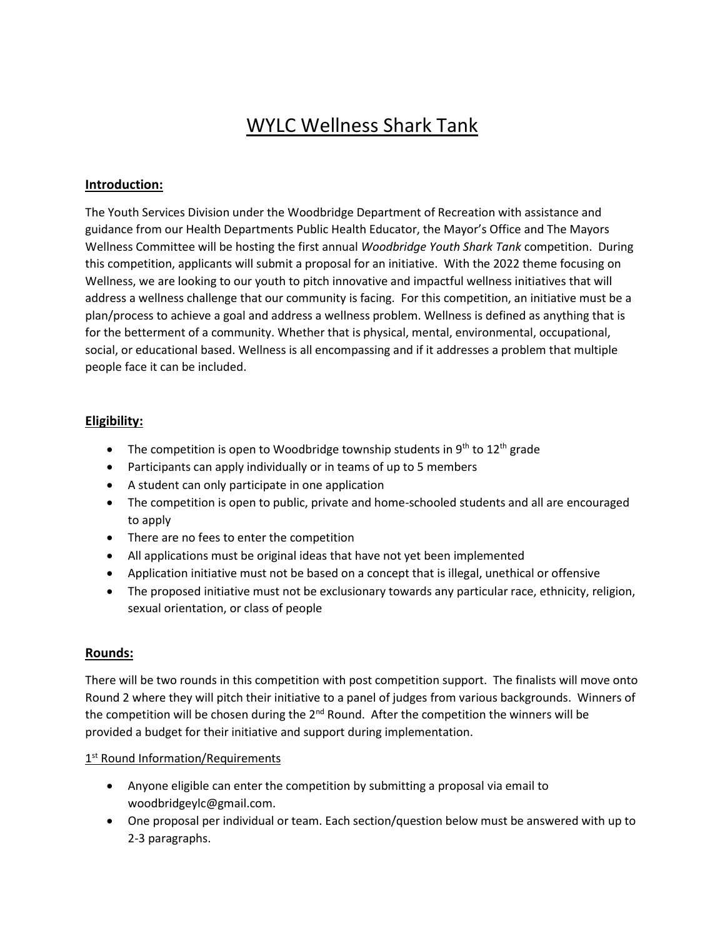# WYLC Wellness Shark Tank

## **Introduction:**

The Youth Services Division under the Woodbridge Department of Recreation with assistance and guidance from our Health Departments Public Health Educator, the Mayor's Office and The Mayors Wellness Committee will be hosting the first annual *Woodbridge Youth Shark Tank* competition. During this competition, applicants will submit a proposal for an initiative. With the 2022 theme focusing on Wellness, we are looking to our youth to pitch innovative and impactful wellness initiatives that will address a wellness challenge that our community is facing. For this competition, an initiative must be a plan/process to achieve a goal and address a wellness problem. Wellness is defined as anything that is for the betterment of a community. Whether that is physical, mental, environmental, occupational, social, or educational based. Wellness is all encompassing and if it addresses a problem that multiple people face it can be included.

#### **Eligibility:**

- The competition is open to Woodbridge township students in  $9<sup>th</sup>$  to  $12<sup>th</sup>$  grade
- Participants can apply individually or in teams of up to 5 members
- A student can only participate in one application
- The competition is open to public, private and home-schooled students and all are encouraged to apply
- There are no fees to enter the competition
- All applications must be original ideas that have not yet been implemented
- Application initiative must not be based on a concept that is illegal, unethical or offensive
- The proposed initiative must not be exclusionary towards any particular race, ethnicity, religion, sexual orientation, or class of people

#### **Rounds:**

There will be two rounds in this competition with post competition support. The finalists will move onto Round 2 where they will pitch their initiative to a panel of judges from various backgrounds. Winners of the competition will be chosen during the  $2<sup>nd</sup>$  Round. After the competition the winners will be provided a budget for their initiative and support during implementation.

### 1<sup>st</sup> Round Information/Requirements

- Anyone eligible can enter the competition by submitting a proposal via email to woodbridgeylc@gmail.com.
- One proposal per individual or team. Each section/question below must be answered with up to 2-3 paragraphs.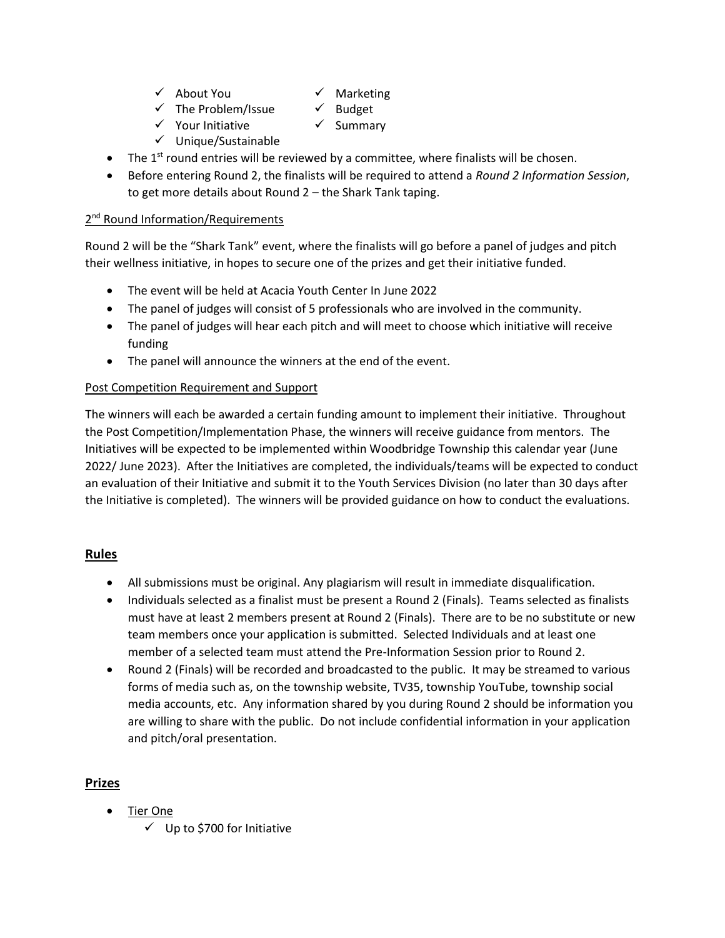- $\checkmark$  About You  $\checkmark$  Marketing
- $\checkmark$  The Problem/Issue  $\checkmark$  Budget
- $\checkmark$  Your Initiative  $\checkmark$  Summary
	-
- $\checkmark$  Unique/Sustainable
- $\bullet$  The 1<sup>st</sup> round entries will be reviewed by a committee, where finalists will be chosen.
- Before entering Round 2, the finalists will be required to attend a *Round 2 Information Session*, to get more details about Round 2 – the Shark Tank taping.

# 2<sup>nd</sup> Round Information/Requirements

Round 2 will be the "Shark Tank" event, where the finalists will go before a panel of judges and pitch their wellness initiative, in hopes to secure one of the prizes and get their initiative funded.

- The event will be held at Acacia Youth Center In June 2022
- The panel of judges will consist of 5 professionals who are involved in the community.
- The panel of judges will hear each pitch and will meet to choose which initiative will receive funding
- The panel will announce the winners at the end of the event.

## Post Competition Requirement and Support

The winners will each be awarded a certain funding amount to implement their initiative. Throughout the Post Competition/Implementation Phase, the winners will receive guidance from mentors. The Initiatives will be expected to be implemented within Woodbridge Township this calendar year (June 2022/ June 2023). After the Initiatives are completed, the individuals/teams will be expected to conduct an evaluation of their Initiative and submit it to the Youth Services Division (no later than 30 days after the Initiative is completed). The winners will be provided guidance on how to conduct the evaluations.

## **Rules**

- All submissions must be original. Any plagiarism will result in immediate disqualification.
- Individuals selected as a finalist must be present a Round 2 (Finals). Teams selected as finalists must have at least 2 members present at Round 2 (Finals). There are to be no substitute or new team members once your application is submitted. Selected Individuals and at least one member of a selected team must attend the Pre-Information Session prior to Round 2.
- Round 2 (Finals) will be recorded and broadcasted to the public. It may be streamed to various forms of media such as, on the township website, TV35, township YouTube, township social media accounts, etc. Any information shared by you during Round 2 should be information you are willing to share with the public. Do not include confidential information in your application and pitch/oral presentation.

# **Prizes**

- Tier One
	- $\checkmark$  Up to \$700 for Initiative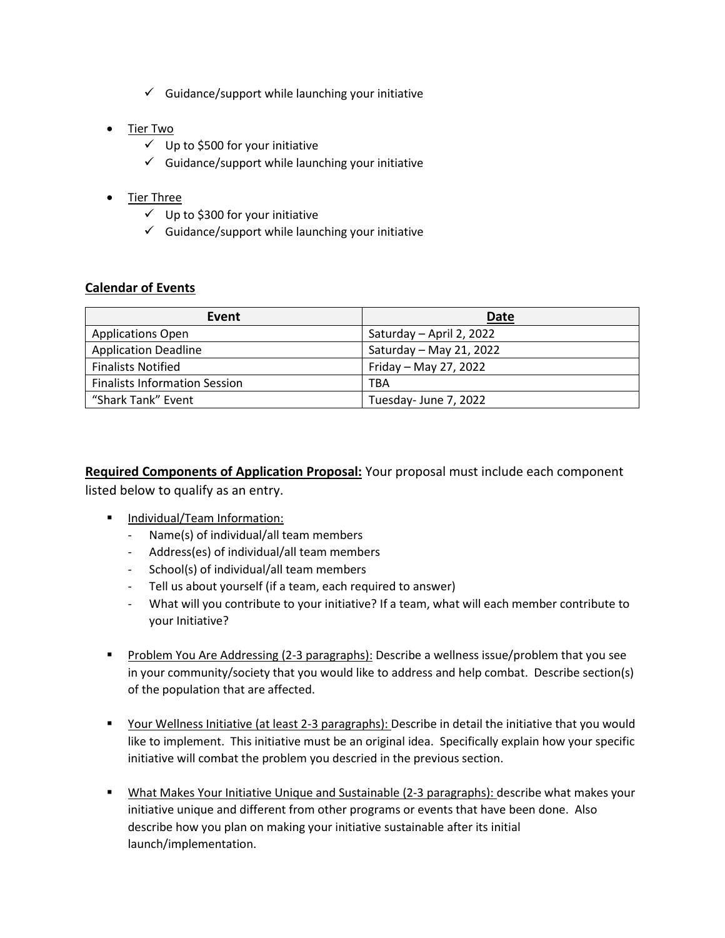- $\checkmark$  Guidance/support while launching your initiative
- Tier Two
	- $\checkmark$  Up to \$500 for your initiative
	- $\checkmark$  Guidance/support while launching your initiative
- Tier Three
	- $\checkmark$  Up to \$300 for your initiative
	- $\checkmark$  Guidance/support while launching your initiative

## **Calendar of Events**

| Event                                | <b>Date</b>              |
|--------------------------------------|--------------------------|
| <b>Applications Open</b>             | Saturday - April 2, 2022 |
| <b>Application Deadline</b>          | Saturday - May 21, 2022  |
| <b>Finalists Notified</b>            | Friday - May 27, 2022    |
| <b>Finalists Information Session</b> | TBA                      |
| "Shark Tank" Event                   | Tuesday-June 7, 2022     |

**Required Components of Application Proposal:** Your proposal must include each component listed below to qualify as an entry.

- **Individual/Team Information:** 
	- Name(s) of individual/all team members
	- Address(es) of individual/all team members
	- School(s) of individual/all team members
	- Tell us about yourself (if a team, each required to answer)
	- What will you contribute to your initiative? If a team, what will each member contribute to your Initiative?
- Problem You Are Addressing (2-3 paragraphs): Describe a wellness issue/problem that you see in your community/society that you would like to address and help combat. Describe section(s) of the population that are affected.
- Your Wellness Initiative (at least 2-3 paragraphs): Describe in detail the initiative that you would like to implement. This initiative must be an original idea. Specifically explain how your specific initiative will combat the problem you descried in the previous section.
- **What Makes Your Initiative Unique and Sustainable (2-3 paragraphs): describe what makes your** initiative unique and different from other programs or events that have been done. Also describe how you plan on making your initiative sustainable after its initial launch/implementation.